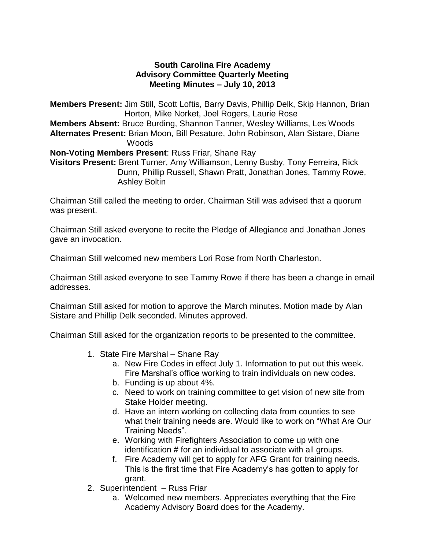## **South Carolina Fire Academy Advisory Committee Quarterly Meeting Meeting Minutes – July 10, 2013**

**Members Present:** Jim Still, Scott Loftis, Barry Davis, Phillip Delk, Skip Hannon, Brian Horton, Mike Norket, Joel Rogers, Laurie Rose **Members Absent:** Bruce Burding, Shannon Tanner, Wesley Williams, Les Woods **Alternates Present:** Brian Moon, Bill Pesature, John Robinson, Alan Sistare, Diane Woods **Non-Voting Members Present**: Russ Friar, Shane Ray **Visitors Present:** Brent Turner, Amy Williamson, Lenny Busby, Tony Ferreira, Rick Dunn, Phillip Russell, Shawn Pratt, Jonathan Jones, Tammy Rowe,

Ashley Boltin

Chairman Still called the meeting to order. Chairman Still was advised that a quorum was present.

Chairman Still asked everyone to recite the Pledge of Allegiance and Jonathan Jones gave an invocation.

Chairman Still welcomed new members Lori Rose from North Charleston.

Chairman Still asked everyone to see Tammy Rowe if there has been a change in email addresses.

Chairman Still asked for motion to approve the March minutes. Motion made by Alan Sistare and Phillip Delk seconded. Minutes approved.

Chairman Still asked for the organization reports to be presented to the committee.

- 1. State Fire Marshal Shane Ray
	- a. New Fire Codes in effect July 1. Information to put out this week. Fire Marshal's office working to train individuals on new codes.
	- b. Funding is up about 4%.
	- c. Need to work on training committee to get vision of new site from Stake Holder meeting.
	- d. Have an intern working on collecting data from counties to see what their training needs are. Would like to work on "What Are Our Training Needs".
	- e. Working with Firefighters Association to come up with one identification # for an individual to associate with all groups.
	- f. Fire Academy will get to apply for AFG Grant for training needs. This is the first time that Fire Academy's has gotten to apply for grant.
- 2. Superintendent Russ Friar
	- a. Welcomed new members. Appreciates everything that the Fire Academy Advisory Board does for the Academy.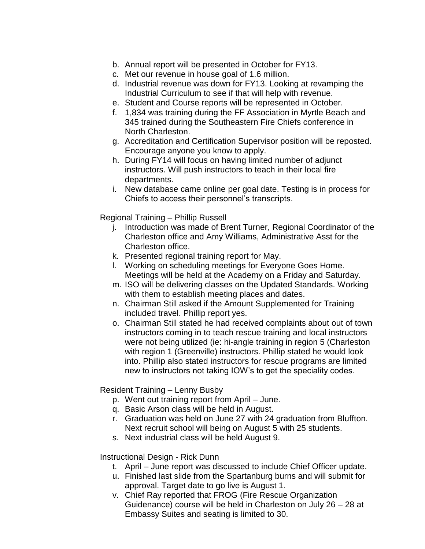- b. Annual report will be presented in October for FY13.
- c. Met our revenue in house goal of 1.6 million.
- d. Industrial revenue was down for FY13. Looking at revamping the Industrial Curriculum to see if that will help with revenue.
- e. Student and Course reports will be represented in October.
- f. 1,834 was training during the FF Association in Myrtle Beach and 345 trained during the Southeastern Fire Chiefs conference in North Charleston.
- g. Accreditation and Certification Supervisor position will be reposted. Encourage anyone you know to apply.
- h. During FY14 will focus on having limited number of adjunct instructors. Will push instructors to teach in their local fire departments.
- i. New database came online per goal date. Testing is in process for Chiefs to access their personnel's transcripts.

Regional Training – Phillip Russell

- j. Introduction was made of Brent Turner, Regional Coordinator of the Charleston office and Amy Williams, Administrative Asst for the Charleston office.
- k. Presented regional training report for May.
- l. Working on scheduling meetings for Everyone Goes Home. Meetings will be held at the Academy on a Friday and Saturday.
- m. ISO will be delivering classes on the Updated Standards. Working with them to establish meeting places and dates.
- n. Chairman Still asked if the Amount Supplemented for Training included travel. Phillip report yes.
- o. Chairman Still stated he had received complaints about out of town instructors coming in to teach rescue training and local instructors were not being utilized (ie: hi-angle training in region 5 (Charleston with region 1 (Greenville) instructors. Phillip stated he would look into. Phillip also stated instructors for rescue programs are limited new to instructors not taking IOW's to get the speciality codes.

Resident Training – Lenny Busby

- p. Went out training report from April June.
- q. Basic Arson class will be held in August.
- r. Graduation was held on June 27 with 24 graduation from Bluffton. Next recruit school will being on August 5 with 25 students.
- s. Next industrial class will be held August 9.

Instructional Design - Rick Dunn

- t. April June report was discussed to include Chief Officer update.
- u. Finished last slide from the Spartanburg burns and will submit for approval. Target date to go live is August 1.
- v. Chief Ray reported that FROG (Fire Rescue Organization Guidenance) course will be held in Charleston on July 26 – 28 at Embassy Suites and seating is limited to 30.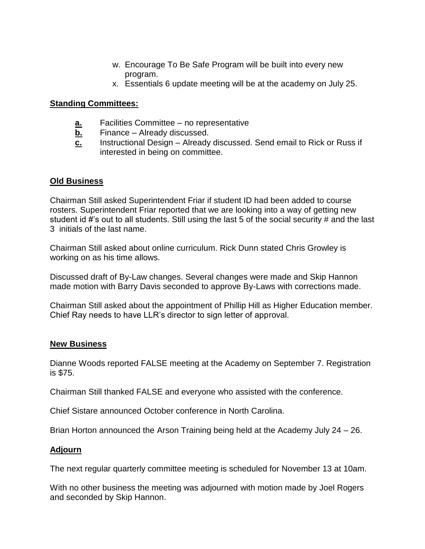- w. Encourage To Be Safe Program will be built into every new program.
- x. Essentials 6 update meeting will be at the academy on July 25.

## **Standing Committees:**

- **a.** Facilities Committee no representative
- **b.** Finance Already discussed.
- **c.** Instructional Design Already discussed. Send email to Rick or Russ if interested in being on committee.

# **Old Business**

Chairman Still asked Superintendent Friar if student ID had been added to course rosters. Superintendent Friar reported that we are looking into a way of getting new student id #'s out to all students. Still using the last 5 of the social security # and the last 3 initials of the last name.

Chairman Still asked about online curriculum. Rick Dunn stated Chris Growley is working on as his time allows.

Discussed draft of By-Law changes. Several changes were made and Skip Hannon made motion with Barry Davis seconded to approve By-Laws with corrections made.

Chairman Still asked about the appointment of Phillip Hill as Higher Education member. Chief Ray needs to have LLR's director to sign letter of approval.

#### **New Business**

Dianne Woods reported FALSE meeting at the Academy on September 7. Registration is \$75.

Chairman Still thanked FALSE and everyone who assisted with the conference.

Chief Sistare announced October conference in North Carolina.

Brian Horton announced the Arson Training being held at the Academy July 24 – 26.

# **Adjourn**

The next regular quarterly committee meeting is scheduled for November 13 at 10am.

With no other business the meeting was adjourned with motion made by Joel Rogers and seconded by Skip Hannon.